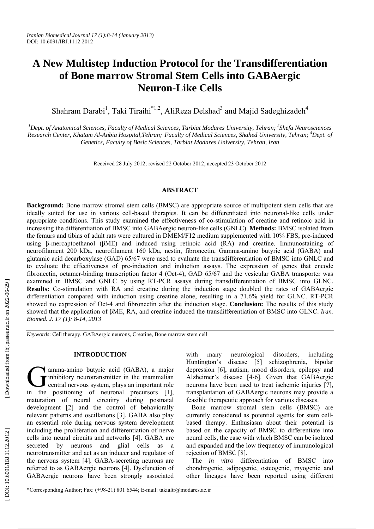# **A New Multistep Induction Protocol for the Transdifferentiation of Bone marrow Stromal Stem Cells into GABAergic Neuron-Like Cells**

Shahram Darabi<sup>1</sup>, Taki Tiraihi<sup>\*1,2</sup>, AliReza Delshad<sup>3</sup> and Majid Sadeghizadeh<sup>4</sup>

<sup>1</sup>Dept. of Anatomical Sciences, Faculty of Medical Sciences, Tarbiat Modares University, Tehran; <sup>2</sup>Shefa Neurosciences *Research Center, Khatam Al-Anbia Hospital,Tehran; Faculty of Medical Sciences, Shahed University, Tehran; 4 Dept. of Genetics, Faculty of Basic Sciences, Tarbiat Modares University, Tehran, Iran* 

Received 28 July 2012; revised 22 October 2012; accepted 23 October 2012

## **ABSTRACT**

**Background:** Bone marrow stromal stem cells (BMSC) are appropriate source of multipotent stem cells that are ideally suited for use in various cell-based therapies. It can be differentiated into neuronal-like cells under appropriate conditions. This study examined the effectiveness of co-stimulation of creatine and retinoic acid in increasing the differentiation of BMSC into GABAergic neuron-like cells (GNLC). **Methods:** BMSC isolated from the femurs and tibias of adult rats were cultured in DMEM/F12 medium supplemented with 10% FBS, pre-induced using β-mercaptoethanol (βME) and induced using retinoic acid (RA) and creatine. Immunostaining of neurofilament 200 kDa, neurofilament 160 kDa, nestin, fibronectin, Gamma-amino butyric acid (GABA) and glutamic acid decarboxylase (GAD) 65/67 were used to evaluate the transdifferentiation of BMSC into GNLC and to evaluate the effectiveness of pre-induction and induction assays. The expression of genes that encode fibronectin, octamer-binding transcription factor 4 (Oct-4), GAD 65/67 and the vesicular GABA transporter was examined in BMSC and GNLC by using RT-PCR assays during transdifferentiation of BMSC into GLNC. **Results:** Co-stimulation with RA and creatine during the induction stage doubled the rates of GABAergic differentiation compared with induction using creatine alone, resulting in a 71.6% yield for GLNC. RT-PCR showed no expression of Oct-4 and fibronectin after the induction stage. **Conclusion:** The results of this study showed that the application of βME, RA, and creatine induced the transdifferentiation of BMSC into GLNC. *Iran. Biomed. J. 17 (1): 8-14, 2013*

*Keywords*: Cell therapy, GABAergic neurons, Creatine, Bone marrow stem cell

## **INTRODUCTION**

amma-amino butyric acid (GABA), a major inhibitory neurotransmitter in the mammalian central nervous system, plays an important role in the positioning of neuronal precursors [1], maturation of neural circuitry during postnatal development [2] and the control of behaviorally relevant patterns and oscillations [3]. GABA also play an essential role during nervous system development including the proliferation and differentiation of nerve cells into neural circuits and networks [4]. GABA are secreted by neurons and glial cells as a neurotransmitter and act as an inducer and regulator of the nervous system [4]. GABA-secreting neurons are referred to as GABAergic neurons [4]. Dysfunction of GABAergic neurons have been strongly associated G<br>in the

with many neurological disorders, including Huntington's disease [5] schizophrenia, bipolar depression [6], autism, mood disorders, epilepsy and Alzheimer's disease [4-6]. Given that GABAergic neurons have been used to treat ischemic injuries [7], transplantation of GABAergic neurons may provide a feasible therapeutic approach for various diseases.

Bone marrow stromal stem cells (BMSC) are currently considered as potential agents for stem cellbased therapy. Enthusiasm about their potential is based on the capacity of BMSC to differentiate into neural cells, the ease with which BMSC can be isolated and expanded and the low frequency of immunological rejection of BMSC [8].

The *in vitro* differentiation of BMSC into chondrogenic, adipogenic, osteogenic, myogenic and other lineages have been reported using different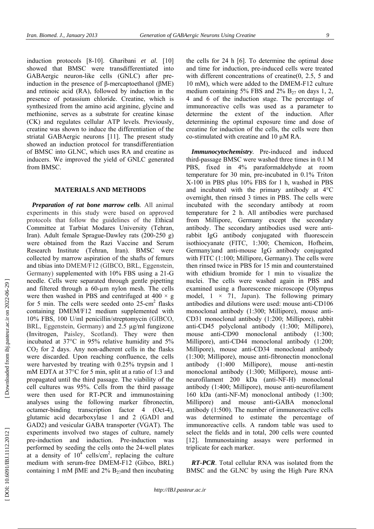induction protocols [8-10]. Gharibani *et al.* [10] showed that BMSC were transdifferentiated into GABAergic neuron-like cells (GNLC) after preinduction in the presence of β-mercaptoethanol (βME) and retinoic acid (RA), followed by induction in the presence of potassium chloride. Creatine, which is synthesized from the amino acid arginine, glycine and methionine, serves as a substrate for creatine kinase (CK) and regulates cellular ATP levels. Previously, creatine was shown to induce the differentiation of the striatal GABAergic neurons [11]. The present study showed an induction protocol for transdifferentiation of BMSC into GLNC, which uses RA and creatine as inducers. We improved the yield of GNLC generated from BMSC.

### **MATERIALS AND METHODS**

*Preparation of rat bone marrow cells .* All animal experiments in this study were based on approved protocols that follow the guidelines of the Ethical Committee at Tarbiat Modares University (Tehran, Iran). Adult female Sprague-Dawley rats (200-250 g) were obtained from the Razi Vaccine and Serum Research Institute (Tehran, Iran). BMSC were collected by marrow aspiration of the shafts of femurs and tibias into DMEM/F12 (GIBCO, BRL, Eggenstein, Germany) supplemented with 10% FBS using a 21-G needle. Cells were separated through gentle pipetting and filtered through a 60-um nylon mesh. The cells were then washed in PBS and centrifuged at  $400 \times g$ for 5 min. The cells were seeded onto 25-cm<sup>2</sup> flasks containing DMEM/F12 medium supplemented with 10% FBS, 100 U/ml penicillin/streptomycin (GIBCO, BRL, Eggenstein, Germany) and 2.5 µg/ml fungizone (Invitrogen, Paisley, Scotland). They were then incubated at 37°C in 95% relative humidity and 5% CO 2 for 2 days. Any non-adherent cells in the flasks were discarded. Upon reaching confluence, the cells were harvested by treating with 0.25% trypsin and 1 mM EDTA at 37°C for 5 min, split at a ratio of 1:3 and propagated until the third passage. The viability of the cell cultures was 95%. Cells from the third passage were then used for RT-PCR and immunostaining analyses using the following marker fibronectin, octamer-binding transcription factor 4 (Oct-4), glutamic acid decarboxylase 1 and 2 (GAD1 and GAD2) and vesicular GABA transporter (VGAT). The experiments involved two stages of culture, namely pre-induction and induction. Pre-induction was performed by seeding the cells onto the 24-well plates at a density of  $10^{4}$  cells/cm<sup>2</sup>, replacing the culture medium with serum-free DMEM-F12 (Gibco, BRL) containing 1 mM  $\beta$ ME and 2% B<sub>27</sub>and then incubating

the cells for 24 h [6]. To determine the optimal dose and time for induction, pre-induced cells were treated with different concentrations of creatine(0, 2.5, 5 and 10 mM), which were added to the DMEM-F12 culture medium containing 5% FBS and 2%  $B_{27}$  on days 1, 2, 4 and 6 of the induction stage. The percentage of immunoreactive cells was used as a parameter to determine the extent of the induction. After determining the optimal exposure time and dose of creatine for induction of the cells, the cells were then co-stimulated with creatine and 10 µM RA.

*Immunocytochemistry .* Pre-induced and induced third-passage BMSC were washed three times in 0.1 M PBS, fixed in 4% paraformaldehyde at room temperature for 30 min, pre-incubated in 0.1% Triton X-100 in PBS plus 10% FBS for 1 h, washed in PBS and incubated with the primary antibody at 4°C overnight, then rinsed 3 times in PBS. The cells were incubated with the secondary antibody at room temperature for 2 h. All antibodies were purchased from Millipore, Germany except the secondary antibody. The secondary antibodies used were antirabbit IgG antibody conjugated with fluorescein isothiocyanate (FITC, 1:300; Chemicon, Hofheim, Germany)and anti-mouse IgG antibody conjugated with FITC (1:100; Millipore, Germany). The cells were then rinsed twice in PBS for 15 min and counterstained with ethidium bromide for 1 min to visualize the nuclei. The cells were washed again in PBS and examined using a fluorescence microscope (Olympus model,  $1 \times 71$ , Japan). The following primary antibodies and dilutions were used: mouse anti-CD106 monoclonal antibody (1:300; Millipore), mouse anti-CD31 monoclonal antibody (1:200; Millipore), rabbit anti-CD45 polyclonal antibody (1:300; Millipore), mouse anti-CD90 monoclonal antibody (1:300; Millipore), anti-CD44 monoclonal antibody (1:200; Millipore), mouse anti-CD34 monoclonal antibody (1:300; Millipore), mouse anti-fibronectin monoclonal antibody (1:400 Millipore), mouse anti-nestin monoclonal antibody (1:300; Millipore), mouse antineurofilament 200 kDa (anti-NF-H) monoclonal antibody (1:400; Millipore), mouse anti-neurofilament 160 kDa (anti-NF-M) monoclonal antibody (1:300; Millipore) and mouse anti-GABA monoclonal antibody (1:500). The number of immunoreactive cells was determined to estimate the percentage of immunoreactive cells. A random table was used to select the fields and in total, 200 cells were counted [12]. Immunostaining assays were performed in triplicate for each marker.

*RT-PCR*. Total cellular RNA was isolated from the BMSC and the GLNC by using the High Pure RNA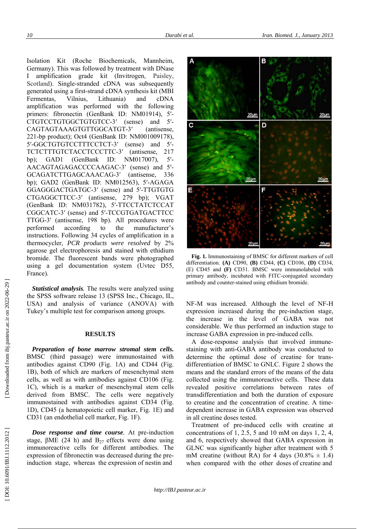Isolation Kit (Roche Biochemicals, Mannheim, Germany). This was followed by treatment with DNase amplification grade kit (Invitrogen, Paisley, Scotland). Single-stranded cDNA was subsequently generated using a first-strand cDNA synthesis kit (MBI Fermentas, Vilnius, Lithuania) and cDNA amplification was performed with the following primers: fibronectin (GenBank ID: NM01914), 5'-CTGTCCTGTGGCTGTGTCC-3 ′ (sense) and 5 ′ - CAGTAGTAAAGTGTTGGCATGT-3 ′ (antisense, 221-bp product); Oct4 (GenBank ID: NM001009178),<br>5'-GGCTGTGTCCTTTCCTCT-3' (sense) and 5'-TCTCTTTGTCTACCTCCCTTC-3' (antisense, 217) bp); GAD1 (GenBank ID:  $NM017007$ ), ′ - AACAGTAGAGACCCCAAGAC-3 ′ (sense) and 5 ′ - GCAGATCTTGAGCAAACAG-3 (antisense, 336) bp); GAD2 (GenBank ID: NM012563), 5 ′-AGAGA GGAGGGACTGATGC-3 ′ (sense) and 5 ′-TTGTGTG CTGAGGCTTCC-3 ′ (antisense, 279 bp); VGAT (GenBank ID: NM031782), 5 ′-TTCCTATCTCCAT CGGCATC-3 ′ (sense) and 5 ′-TCCGTGATGACTTCC TTGG-3 ′ (antisense, 198 bp). All procedures were performed according to the manufacturer's instructions. Following 34 cycles of amplification in a thermocycler, *PCR products were resolved* by 2% agarose gel electrophoresis and stained with ethidium bromide. The fluorescent bands were photographed using a gel documentation system (Uvtec D55, France).

Statistical analysis. The results were analyzed using the SPSS software release 13 (SPSS Inc., Chicago, IL, USA) and analysis of variance (ANOVA) with Tukey's multiple test for comparison among groups.

## **RESULTS**

*Preparation of bone marrow stromal stem cells.* BMSC (third passage) were immunostained with antibodies against CD90 (Fig. 1A) and CD44 (Fig. 1B), both of which are markers of mesenchymal stem cells, as well as with antibodies against CD106 (Fig. 1C), which is a marker of mesenchymal stem cells derived from BMSC. The cells were negatively immunostained with antibodies against CD34 (Fig. 1D), CD45 (a hematopoietic cell marker, Fig. 1E) and CD31 (an endothelial cell marker, Fig. 1F).

*Dose response and time course .* At pre-induction stage,  $\beta$ ME (24 h) and B<sub>27</sub> effects were done using immunoreactive cells for different antibodies. The expression of fibronectin was decreased during the preinduction stage, whereas the expression of nestin and



**Fig. 1.** Immunostaining of BMSC for different markers of cell differentiation. **(A)** CD90, **(B)** CD44, **(C)** CD106, **(D)** CD34, (E) CD45 and **(F)** CD31. BMSC were immunolabeled with primary antibody, incubated with FITC-conjugated secondary antibody and counter-stained using ethidium bromide.

NF-M was increased. Although the level of NF-H expression increased during the pre-induction stage, the increase in the level of GABA was not considerable. We thus performed an induction stage to increase GABA expression in pre-induced cells.

A dose-response analysis that involved immunestaining with anti-GABA antibody was conducted to determine the optimal dose of creatine for transdifferentiation of BMSC to GNLC. Figure 2 shows the means and the standard errors of the means of the data collected using the immunoreactive cells. These data revealed positive correlations between rates of transdifferentiation and both the duration of exposure to creatine and the concentration of creatine. A timedependent increase in GABA expression was observed in all creatine doses tested.

Treatment of pre-induced cells with creatine at concentrations of 1, 2.5, 5 and 10 mM on days 1, 2, 4, and 6, respectively showed that GABA expression in GLNC was significantly higher after treatment with 5 mM creatine (without RA) for 4 days  $(30.8\% \pm 1.4)$ when compared with the other doses of creatine and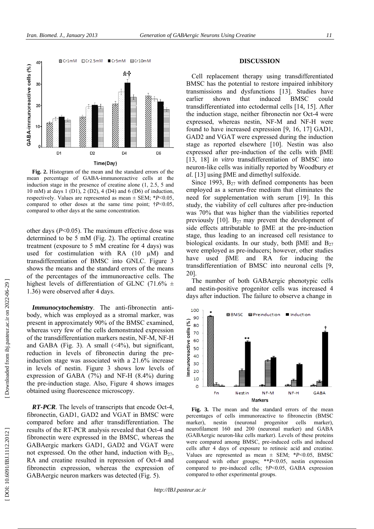

Fig. 2. Histogram of the mean and the standard errors of th mean percentage of GABA-immunoreactive cells at th induction stage in the presence of creatine alone  $(1, 2.5, 5$  an 10 mM) at days 1 (D1), 2 (D2), 4 (D4) and 6 (D6) of inductio respectively. Values are represented as mean  $\pm$  SEM;  $*P<0.0$ compared to other doses at the same time point;  $\uparrow P < 0.0$ <br>compared to other days at the same concentration. compared to other days at the sam the the nd on, 05, as ne as ne as ne as ne and the mean of the state of  $\alpha$  as ne and the negative mean  $\alpha$ 

compared to other days at the same concentration.<br>
other days (*P*<0.05). The maximum effective dose wa determined to be 5 mM (Fig. 2). The optimal creatin treatment (exposure to 5 mM creatine for 4 days) wa used for costimulation with RA  $(10 \mu M)$  and transdifferentiation of BMSC into GNLC. Figure shows the means and the standard errors of the mea shows the means and the standard errors of the mean of the percentages of the immunoreactive cells. Th highest levels of differentiation of GLNC (71.6%  $\pm$ highest levels of differentia<br>1.36) were observed after 4 d 3 ns he

36) were observed after 4 days.<br>**Immunocytochemistry**. The anti-fibronectin antibody, which was employed as a stromal marker, was present in approximately 90% of the BMSC examine present in approximately 90% of the BMSC examined, whereas very few of the cells demonstrated expression of the transdifferentiation markers nestin, NF-M, NFand GABA (Fig. 3). A small  $(\leq 4\%)$ , but significan reduction in levels of fibronectin during the pre induction stage was associated with a 21.6% increas in levels of nestin. Figure 3 shows low levels o expression of GABA  $(7%)$  and NF-H  $(8.4%)$  durin expression of GABA (7%) and NF-H (8.4%) during<br>the pre-induction stage. Also, Figure 4 shows image

obtained using fluorescence<br> **RT-PCR**. The levels of tra **RT-PCR**. The levels of transcripts that encode Oct-4 obtained using fluorescence microscopy.<br> **RT-PCR**. The levels of transcripts that encode Oct-4<br>
fibronectin, GAD1, GAD2 and VGAT in BMSC wer compared before and after transdifferentiation. Th results of the RT-PCR analysis revealed that Oct-4 an fibronectin were expressed in the BMSC, whereas th fibronectin were expressed in the BMSC, whereas th<br>GABAergic markers GAD1, GAD2 and VGAT wer not expressed. On the other hand, induction with  $B_2$ not expressed. On the other hand, induction with  $B_2$ <br>RA and creatine resulted in repression of Oct-4 an<br>fibronectin expression, whereas the expression of fibronectin expression, whereas the expression o uron markers was detecte d d (Fig. 5). H nt, re-se of ng es 4, re he nd he re 27, nd of

#### **DISCUSSION**

Cell replacement therapy using transdif BMSC has the potential to restore impaired transmissions and dysfunctions [13]. Stu earlie r transd i the induction stage, neither fibronectin nor O expressed, whereas nestin, NF-M and N found to have increased expression [9, 16, 1 GAD2 and VGAT were expressed during the stage as reported elsewhere [10]. Nesti n was also expressed after pre-induction of the cells with  $\beta$ ME [13, 18] *in vitro* transdifferentiation of BMSC into [13, 18] *in vitro* transdifferentiation of BMSC into neuron-like cells was initially reported by Woodbury *et* neuron-like cells was initially reported by W *Neurons Using*<br>
1 replacemer<br>
C has the potentistics and<br>
ifferentiated<br>
duction stage<br>
ssed, wherea<br>
2 and VGAT<br>
as reported<br>
ssed after pr<br>
18] *in vitro*<br>
2 and VGAT<br>
as reported<br>
ssed after pr<br>
18] *in vitro*<br>
2 1993, r shown<br>differentiated<br>duction stage **Example 12**<br> **DISCU**<br> **C** replacement theral C has the potential to cot<br>
In replacement theral infisions and dysful<br>
infferentiated into ect<br>
and VGAT were exercised expressed after pre-induction stage, neither<br>
as repor that indu into ectodermal cells [14, **BMSC** ifferentiated<br>d inhibitory<br>tudies have could 4, 15]. After<br>Oct-4 were NF-H were<br>17] GAD1, he induction

*al.* [13] using βME and dimethy<br>Since 1993,  $B_{27}$  with defined f [13] using βME and dimethyl sulfoxide.<br>Since 1993,  $B_{27}$  with defined component employed as a serum-free medium that elim need for supplementation with serum [19 study, the viability of cell cultures after pre was 70% that was higher than the viabilitie<br>previously  $[10]$ . B<sub>27</sub> may prevent the develo previously [10].  $B_{27}$  may prevent the devel Since 1993, B<sub>27</sub> with defined components has been employed as a serum-free medium that eliminates the need for supplementation with serum [19]. In this study, the viability of cell cultures after pre-induction was 70% th stage, thus leading to an increased cell re stage, thus leading to an increased cell resistance to biological oxidants. In our study, both  $\beta ME$  and  $B_{27}$ were employed as pre-inducers; however, ot have used  $\beta$ ME and RA for indu transdifferentiation of BMSC into neurona 20]. ther studies<br>tucing the<br>al cells [9,<br>otypic cells<br>increased 4<br>a change in

The number of both GABAergic pheno and nestin-positive progenitor cells was in days after induction. The failure to observe a days after induction. The failure to observe a



Fig. 3. The mean and the standard errors o Fig. 3. The mean and the standard errors of the mean percentages of cells immunoreactive to fibronectin (BMSC marker), nestin (neuronal progenitor cells marker), marker ) neurofilament 160 and 200 (neuronal marker) neurofilament 160 and 200 (neuronal marker) and GABA (GABA ergic neuron-like cells marker). Levels of these proteins were compared among BMSC, pre-induced cells cells after 4 days of exposure to retinoic acid cells after 4 days of exposure to retinoic acid a Values are represented as mean  $\pm$  SEM;  $*P<0$ compared with other groups; \*\**P*<0.05, nestin compared to pre-induced cells;  $\uparrow P \leq 0.05$ , GABA compared to other experimental groups. neuronal progenitor cell marker), and induced<br>and creatine.<br>0.05, BMSC<br>in expression<br>A expression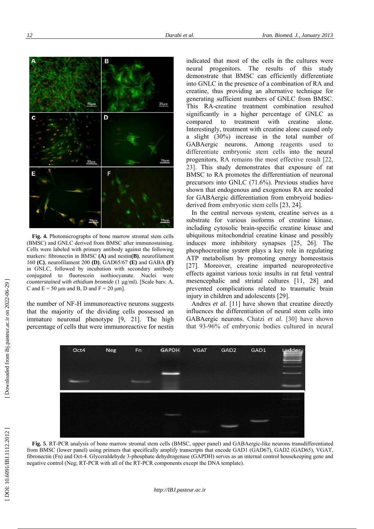

**Fig. 4.** Photomicrographs of bone marrow stromal stem cells (BMSC) and GNLC derived from BMSC after immunostaining. Cells were labeled with primary antibody against the following markers: fibronectin in BMSC **(A)** and nestin**(B)**, neurofilament 160 **(C)**, neurofilament 200 **(D)**, GAD65/67 **(E)** and GABA **(F)** in GNLC, followed by incubation with secondary antibody conjugated to fluorescein isothiocyanate. Nuclei were *counterstained with ethidium bromide* (1 µg/ml). [Scale bars: A, C and  $E = 50 \mu m$  and B, D and  $F = 20 \mu m$ .

the number of NF-H immunoreactive neurons suggests that the majority of the dividing cells possessed an immature neuronal phenotype [9, 21]. The high percentage of cells that were immunoreactive for nestin indicated that most of the cells in the cultures were neural progenitors. The results of this study demonstrate that BMSC can efficiently differentiate into GNLC in the presence of a combination of RA and creatine, thus providing an alternative technique for generating sufficient numbers of GNLC from BMSC. This RA-creatine treatment combination resulted significantly in a higher percentage of GNLC as compared to treatment with creatine alone. Interestingly, treatment with creatine alone caused only a slight (30%) increase in the total number of GABAergic neurons. Among reagents used to differentiate embryonic stem cells into the neural progenitors, RA remains the most effective result [22, 23]. This study demonstrates that exposure of rat BMSC to RA promotes the differentiation of neuronal precursors into GNLC (71.6%). Previous studies have shown that endogenous and exogenous RA are needed for GABAergic differentiation from embryoid bodiesderived from embryonic stem cells [23, 24].

In the central nervous system, creatine serves as a substrate for various isoforms of creatine kinase, including cytosolic brain-specific creatine kinase and ubiquitous mitochondrial creatine kinase and possibly induces more inhibitory synapses [25, 26]. The phosphocreatine *system* plays a key role in regulating ATP metabolism by promoting energy homeostasis [27]. Moreover, creatine imparted neuroprotective effects against various toxic insults in rat fetal ventral mesencephalic and striatal cultures [11, 28] and prevented complications related to traumatic brain injury in children and adolescents [29].

Andres *et al.* [11] have shown that creatine directly influences the differentiation of neural stem cells into GABAergic neurons. Chatzi *et al.* [30] have shown that 93-96% of embryonic bodies cultured in neural



**Fig. 5**. RT-PCR analysis of bone marrow stromal stem cells (BMSC, upper panel) and GABAergic-like neurons transdifferentiated from BMSC (lower panel) using primers that specifically amplify transcripts that encode GAD1 (GAD67), GAD2 (GAD65), VGAT, fibronectin (Fn) and Oct-4. Glyceraldehyde 3-phosphate dehydrogenase (GAPDH) serves as an internal control housekeeping gene and negative control (Neg; RT-PCR with all of the RT-PCR components except the DNA template).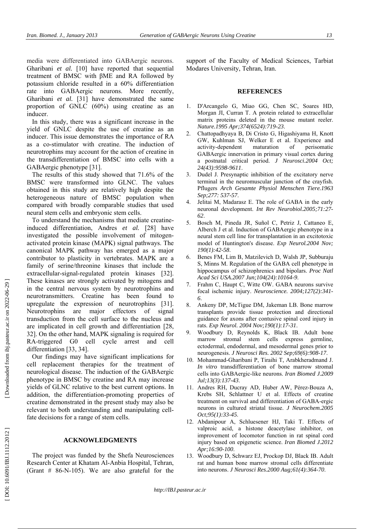media were differentiated into GABAergic neurons. Gharibani *et al.* [10] have reported that sequential treatment of BMSC with βME and RA followed by potassium chloride resulted in a 60% differentiation rate into GABAergic neurons. More recently, Gharibani *et al.* [31] have demonstrated the same proportion of GNLC (60%) using creatine as an inducer.

In this study, there was a significant increase in the yield of GNLC despite the use of creatine as an inducer. This issue demonstrates the importance of RA as a co-stimulator with creatine. The induction of neurotrophins may account for the action of creatine in the transdifferentiation of BMSC into cells with a GABAergic phenotype [31].

The results of this study showed that 71.6% of the BMSC were transformed into GLNC. The values obtained in this study are relatively high despite the heterogeneous nature of BMSC population when compared with broadly comparable studies that used neural stem cells and embryonic stem cells.

To understand the mechanisms that mediate creatineinduced differentiation, Andres *et al.* [28] have investigated the possible involvement of mitogenactivated protein kinase (MAPK) signal pathways. The canonical MAPK pathway has emerged as a major contributor to plasticity in vertebrates. MAPK are a family of serine/threonine kinases that include the extracellular-signal-regulated protein kinases [32]. These kinases are strongly activated by mitogens and in the central nervous system by neurotrophins and neurotransmitters. Creatine has been found to upregulate the expression of neurotrophins [31]. Neurotrophins are major effectors of signal transduction from the cell surface to the nucleus and are implicated in cell growth and differentiation [28, 32]. On the other hand, MAPK signaling is required for RA-triggered G0 cell cycle arrest and cell differentiation [33, 34].

Our findings may have significant implications for cell replacement therapies for the treatment of neurological disease. The induction of the GABAergic phenotype in BMSC by creatine and RA may increase yields of GLNC relative to the best current options. In addition, the differentiation-promoting properties of creatine demonstrated in the present study may also be relevant to both understanding and manipulating cellfate decisions for a range of stem cells.

#### **ACKNOWLEDGMENTS**

The project was funded by the Shefa Neurosciences Research Center at Khatam Al-Anbia Hospital, Tehran, (Grant # 86-N-105). We are also grateful for the support of the Faculty of Medical Sciences, Tarbiat Modares University, Tehran, Iran.

#### **REFERENCES**

- 1. D'Arcangelo G, Miao GG, Chen SC, Soares HD, Morgan JI, Curran T. A protein related to extracellular matrix proteins deleted in the mouse mutant reeler. *Nature.1995 Apr;374(6524):719-23*.
- 2. Chattopadhyaya B, Di Cristo G, Higashiyama H, Knott GW, Kuhlman SJ, Welker E et al. Experience and activity-dependent maturation of perisomatic GABAergic innervation in primary visual cortex during a postnatal critical period. *J Neurosci.2004 Oct; 24(43):9598-9611*.
- 3. Dudel J. Presynaptic inhibition of the excitatory nerve terminal in the neuromuscular junction of the crayfish. Pflugers *Arch Gesamte Physiol Menschen Tiere.1963 Sep;277: 537-57*.
- Jelitai M, Madarasz E. The role of GABA in the early neuronal development. *Int Rev Neurobiol.2005;71:27- 62*.
- 5. Bosch M, Pineda JR, Suñol C, Petriz J, Cattaneo E, Alberch J et al. Induction of GABAergic phenotype in a neural stem cell line for transplantation in an excitotoxic model of Huntington's disease. *Exp Neurol.2004 Nov; 190(1):42-58*.
- 6. Benes FM, Lim B, Matzilevich D, Walsh JP, Subburaju S, Minns M. Regulation of the GABA cell phenotype in hippocampus of schizophrenics and bipolars. *Proc Natl Acad Sci USA.2007 Jun;104(24):10164-9*.
- 7. Frahm C, Haupt C, Witte OW. GABA neurons survive focal ischemic injury. *Neuroscience. 2004;127(2):341- 6*.
- 8. Ankeny DP, McTigue DM, Jakeman LB. Bone marrow transplants provide tissue protection and directional guidance for axons after contusive spinal cord injury in rats. *Exp Neurol. 2004 Nov;190(1):17-31*.
- 9. Woodbury D, Reynolds K, Black IB. Adult bone marrow stromal stem cells express germline, ectodermal, endodermal, and mesodermal genes prior to neurogenesis. *J Neurosci Res. 2002 Sep;69(6):908-17*.
- 10. Mohammad-Gharibani P, Tiraihi T, Arabkheradmand J. *In vitro* transdifferentiation of bone marrow stromal cells into GABAergic-like neurons. *Iran Biomed J.2009 Jul;13(3):137-43*.
- 11. Andres RH, Ducray AD, Huber AW, Pérez-Bouza A, Krebs SH, Schlattner U et al. Effects of creatine treatment on survival and differentiation of GABA-ergic neurons in cultured striatal tissue. *J Neurochem.2005 Oct;95(1):33-45*.
- 12. Abdanipour A, Schluesener HJ, Taki T. Effects of valproic acid, a histone deacetylase inhibitor, on improvement of locomotor function in rat spinal cord injury based on epigenetic science. *Iran Biomed J.2012 Apr;16:90-100*.
- 13. Woodbury D, Schwarz EJ, Prockop DJ, Black IB. Adult rat and human bone marrow stromal cells differentiate into neurons. *J Neurosci Res.2000 Aug;61(4):364-70*.